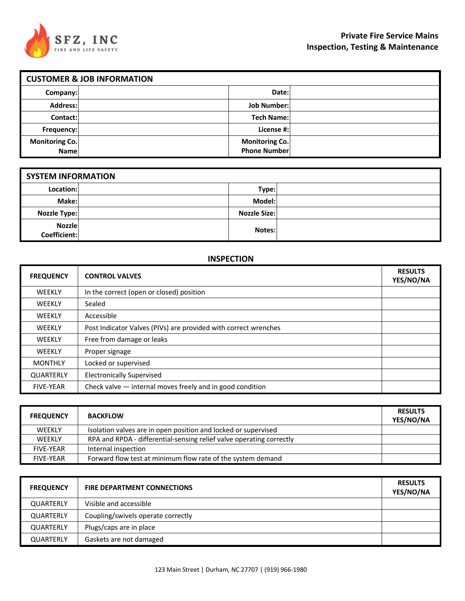

| <b>CUSTOMER &amp; JOB INFORMATION</b> |  |                                              |  |  |
|---------------------------------------|--|----------------------------------------------|--|--|
| Company:                              |  | Date:                                        |  |  |
| Address:                              |  | <b>Job Number:</b>                           |  |  |
| Contact:                              |  | <b>Tech Name:</b>                            |  |  |
| Frequency:                            |  | License #:                                   |  |  |
| <b>Monitoring Co.</b><br>Name         |  | <b>Monitoring Co.</b><br><b>Phone Number</b> |  |  |

| <b>SYSTEM INFORMATION</b>     |  |                     |  |
|-------------------------------|--|---------------------|--|
| Location:                     |  | Type:               |  |
| Make:                         |  | Model:              |  |
| <b>Nozzle Type:</b>           |  | <b>Nozzle Size:</b> |  |
| <b>Nozzle</b><br>Coefficient: |  | Notes:              |  |

### **INSPECTION**

| <b>FREQUENCY</b> | <b>CONTROL VALVES</b>                                           | <b>RESULTS</b><br>YES/NO/NA |
|------------------|-----------------------------------------------------------------|-----------------------------|
| <b>WEEKLY</b>    | In the correct (open or closed) position                        |                             |
| <b>WEEKLY</b>    | Sealed                                                          |                             |
| <b>WEEKLY</b>    | Accessible                                                      |                             |
| <b>WEEKLY</b>    | Post Indicator Valves (PIVs) are provided with correct wrenches |                             |
| <b>WEEKLY</b>    | Free from damage or leaks                                       |                             |
| <b>WEEKLY</b>    | Proper signage                                                  |                             |
| <b>MONTHLY</b>   | Locked or supervised                                            |                             |
| <b>QUARTERLY</b> | <b>Electronically Supervised</b>                                |                             |
| <b>FIVE-YEAR</b> | Check valve - internal moves freely and in good condition       |                             |

| <b>FREQUENCY</b> | <b>BACKFLOW</b>                                                      | <b>RESULTS</b><br>YES/NO/NA |
|------------------|----------------------------------------------------------------------|-----------------------------|
| WEEKLY           | Isolation valves are in open position and locked or supervised       |                             |
| <b>WEEKLY</b>    | RPA and RPDA - differential-sensing relief valve operating correctly |                             |
| <b>FIVF-YFAR</b> | Internal inspection                                                  |                             |
| <b>FIVE-YEAR</b> | Forward flow test at minimum flow rate of the system demand          |                             |

| <b>FREQUENCY</b> | <b>FIRE DEPARTMENT CONNECTIONS</b> | <b>RESULTS</b><br>YES/NO/NA |
|------------------|------------------------------------|-----------------------------|
| <b>QUARTERLY</b> | Visible and accessible             |                             |
| <b>QUARTERLY</b> | Coupling/swivels operate correctly |                             |
| <b>QUARTERLY</b> | Plugs/caps are in place            |                             |
| <b>QUARTERLY</b> | Gaskets are not damaged            |                             |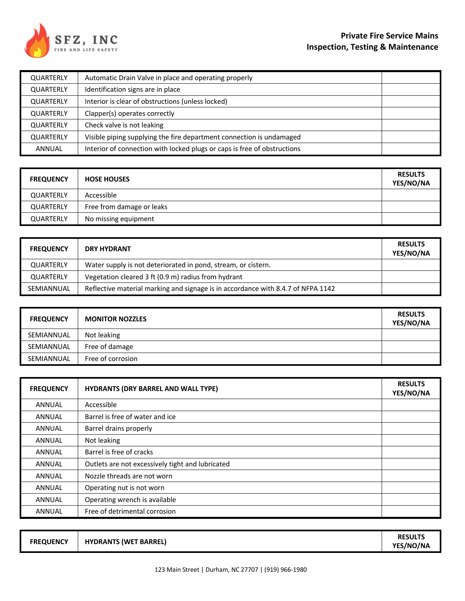

| QUARTERLY        | Automatic Drain Valve in place and operating properly                    |  |
|------------------|--------------------------------------------------------------------------|--|
| <b>QUARTERLY</b> | Identification signs are in place                                        |  |
| <b>QUARTERLY</b> | Interior is clear of obstructions (unless locked)                        |  |
| <b>QUARTERLY</b> | Clapper(s) operates correctly                                            |  |
| <b>QUARTERLY</b> | Check valve is not leaking                                               |  |
| <b>QUARTERLY</b> | Visible piping supplying the fire department connection is undamaged     |  |
| <b>ANNUAL</b>    | Interior of connection with locked plugs or caps is free of obstructions |  |

| <b>FREQUENCY</b> | <b>HOSE HOUSES</b>        | <b>RESULTS</b><br>YES/NO/NA |
|------------------|---------------------------|-----------------------------|
| <b>QUARTERLY</b> | Accessible                |                             |
| <b>QUARTERLY</b> | Free from damage or leaks |                             |
| <b>QUARTERLY</b> | No missing equipment      |                             |

| <b>FREQUENCY</b> | <b>DRY HYDRANT</b>                                                               | <b>RESULTS</b><br>YES/NO/NA |
|------------------|----------------------------------------------------------------------------------|-----------------------------|
| QUARTERLY        | Water supply is not deteriorated in pond, stream, or cistern.                    |                             |
| QUARTERLY        | Vegetation cleared 3 ft (0.9 m) radius from hydrant                              |                             |
| SEMIANNUAL       | Reflective material marking and signage is in accordance with 8.4.7 of NFPA 1142 |                             |

| <b>FREQUENCY</b> | <b>MONITOR NOZZLES</b> | <b>RESULTS</b><br>YES/NO/NA |
|------------------|------------------------|-----------------------------|
| SEMIANNUAL       | Not leaking            |                             |
| SEMIANNUAL       | Free of damage         |                             |
| SEMIANNUAL       | Free of corrosion      |                             |

| <b>FREQUENCY</b> | <b>HYDRANTS (DRY BARREL AND WALL TYPE)</b>       | <b>RESULTS</b><br>YES/NO/NA |
|------------------|--------------------------------------------------|-----------------------------|
| <b>ANNUAL</b>    | Accessible                                       |                             |
| <b>ANNUAL</b>    | Barrel is free of water and ice                  |                             |
| <b>ANNUAL</b>    | Barrel drains properly                           |                             |
| <b>ANNUAL</b>    | Not leaking                                      |                             |
| <b>ANNUAL</b>    | Barrel is free of cracks                         |                             |
| <b>ANNUAL</b>    | Outlets are not excessively tight and lubricated |                             |
| <b>ANNUAL</b>    | Nozzle threads are not worn                      |                             |
| <b>ANNUAL</b>    | Operating nut is not worn                        |                             |
| <b>ANNUAL</b>    | Operating wrench is available                    |                             |
| <b>ANNUAL</b>    | Free of detrimental corrosion                    |                             |

| <b>FREQUENCY</b> | <b>HYDRANTS (WET BARREL)</b> | <b>RESULTS</b><br><b>YES/NO/NA</b> |
|------------------|------------------------------|------------------------------------|
|                  |                              |                                    |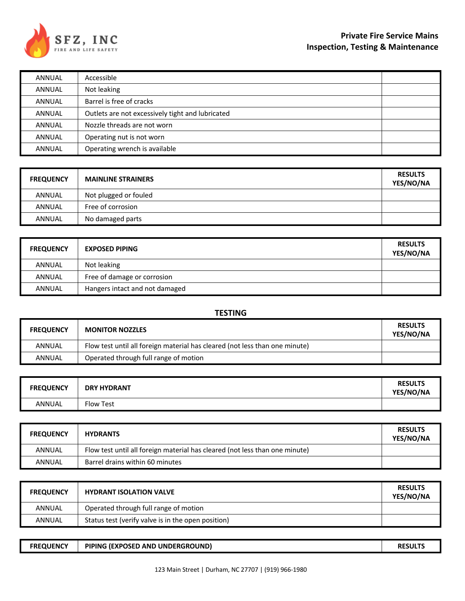

| ANNUAL        | Accessible                                       |  |
|---------------|--------------------------------------------------|--|
| ANNUAL        | Not leaking                                      |  |
| ANNUAL        | Barrel is free of cracks                         |  |
| ANNUAL        | Outlets are not excessively tight and lubricated |  |
| ANNUAL        | Nozzle threads are not worn                      |  |
| ANNUAL        | Operating nut is not worn                        |  |
| <b>ANNUAL</b> | Operating wrench is available                    |  |

| <b>FREQUENCY</b> | <b>MAINLINE STRAINERS</b> | <b>RESULTS</b><br>YES/NO/NA |
|------------------|---------------------------|-----------------------------|
| <b>ANNUAL</b>    | Not plugged or fouled     |                             |
| <b>ANNUAL</b>    | Free of corrosion         |                             |
| <b>ANNUAL</b>    | No damaged parts          |                             |

| <b>FREQUENCY</b> | <b>EXPOSED PIPING</b>          | <b>RESULTS</b><br>YES/NO/NA |
|------------------|--------------------------------|-----------------------------|
| <b>ANNUAL</b>    | Not leaking                    |                             |
| <b>ANNUAL</b>    | Free of damage or corrosion    |                             |
| <b>ANNUAL</b>    | Hangers intact and not damaged |                             |

### **TESTING**

| <b>FREQUENCY</b> | <b>MONITOR NOZZLES</b>                                                      | <b>RESULTS</b><br>YES/NO/NA |
|------------------|-----------------------------------------------------------------------------|-----------------------------|
| ANNUAL           | Flow test until all foreign material has cleared (not less than one minute) |                             |
| ANNUAL           | Operated through full range of motion                                       |                             |

| <b>FREQUENCY</b> | <b>DRY HYDRANT</b> | <b>RESULTS</b><br>YES/NO/NA |
|------------------|--------------------|-----------------------------|
| ANNUAL           | Flow Test          |                             |

| <b>FREQUENCY</b> | <b>HYDRANTS</b>                                                             | <b>RESULTS</b><br>YES/NO/NA |
|------------------|-----------------------------------------------------------------------------|-----------------------------|
| ANNUAL           | Flow test until all foreign material has cleared (not less than one minute) |                             |
| ANNUAL           | Barrel drains within 60 minutes                                             |                             |

| <b>FREQUENCY</b> | <b>HYDRANT ISOLATION VALVE</b>                     | <b>RESULTS</b><br>YES/NO/NA |
|------------------|----------------------------------------------------|-----------------------------|
| ANNUAL           | Operated through full range of motion              |                             |
| ANNUAL           | Status test (verify valve is in the open position) |                             |

| <b>FREQUENCY</b> | PIPING (EXPOSED AND UNDERGROUND) | <b>RESULTS</b> |
|------------------|----------------------------------|----------------|
|------------------|----------------------------------|----------------|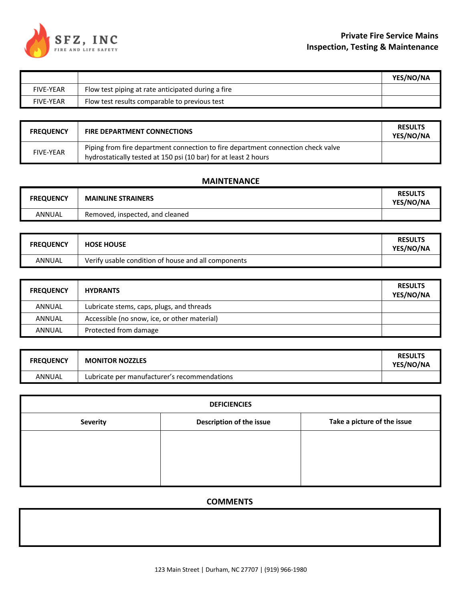

|                  |                                                    | YES/NO/NA |
|------------------|----------------------------------------------------|-----------|
| <b>FIVE-YEAR</b> | Flow test piping at rate anticipated during a fire |           |
| <b>FIVE-YEAR</b> | Flow test results comparable to previous test      |           |

| <b>FREQUENCY</b> | <b>FIRE DEPARTMENT CONNECTIONS</b>                                                                                                                  | <b>RESULTS</b><br><b>YES/NO/NA</b> |
|------------------|-----------------------------------------------------------------------------------------------------------------------------------------------------|------------------------------------|
| <b>FIVE-YEAR</b> | Piping from fire department connection to fire department connection check valve<br>hydrostatically tested at 150 psi (10 bar) for at least 2 hours |                                    |

### **MAINTENANCE**

| <b>FREQUENCY</b> | <b>MAINLINE STRAINERS</b>       | <b>RESULTS</b><br>YES/NO/NA |
|------------------|---------------------------------|-----------------------------|
| ANNUAL           | Removed, inspected, and cleaned |                             |

| <b>FREQUENCY</b> | <b>HOSE HOUSE</b>                                   | <b>RESULTS</b><br>YES/NO/NA |
|------------------|-----------------------------------------------------|-----------------------------|
| ANNUAL           | Verify usable condition of house and all components |                             |

| <b>FREQUENCY</b> | <b>HYDRANTS</b>                              | <b>RESULTS</b><br>YES/NO/NA |
|------------------|----------------------------------------------|-----------------------------|
| ANNUAL           | Lubricate stems, caps, plugs, and threads    |                             |
| ANNUAL           | Accessible (no snow, ice, or other material) |                             |
| ANNUAL           | Protected from damage                        |                             |

| <b>FREQUENCY</b> | <b>MONITOR NOZZLES</b>                       | <b>RESULTS</b><br>YES/NO/NA |
|------------------|----------------------------------------------|-----------------------------|
| ANNUAL           | Lubricate per manufacturer's recommendations |                             |

| <b>DEFICIENCIES</b> |                          |                             |  |  |
|---------------------|--------------------------|-----------------------------|--|--|
| <b>Severity</b>     | Description of the issue | Take a picture of the issue |  |  |
|                     |                          |                             |  |  |
|                     |                          |                             |  |  |
|                     |                          |                             |  |  |
|                     |                          |                             |  |  |

## **COMMENTS**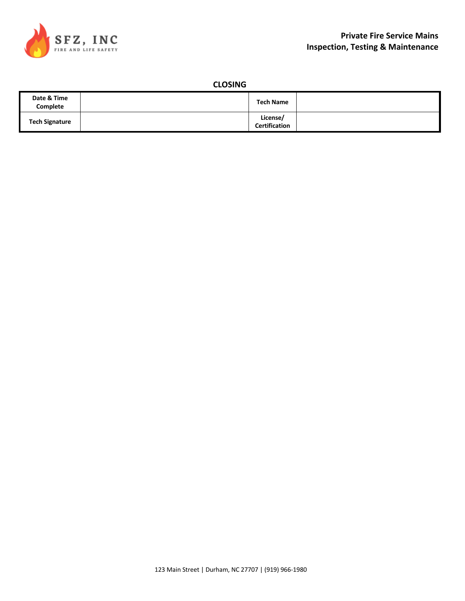

## **CLOSING**

| Date & Time<br>Complete | <b>Tech Name</b>                 |  |
|-------------------------|----------------------------------|--|
| <b>Tech Signature</b>   | License/<br><b>Certification</b> |  |